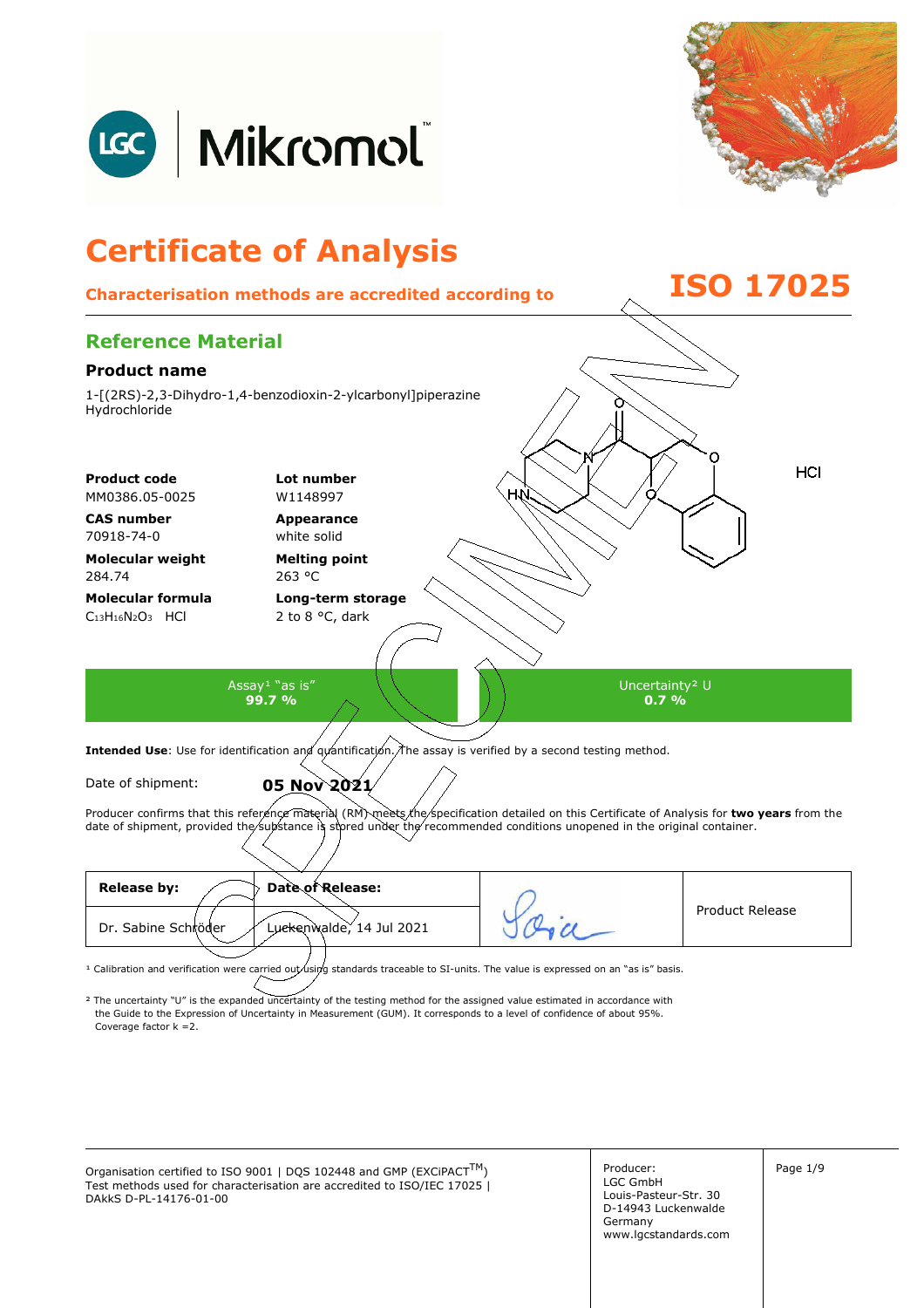



## **Certificate of Analysis**

## **Characterisation methods are accredited according to ISO 17025**



| Date of Release:<br><b>Release by:</b>          |                 |
|-------------------------------------------------|-----------------|
| Dr. Sabine Schröder<br>Luckenwalde, 14 Jul 2021 | Product Release |
|                                                 |                 |

<sup>1</sup> Calibration and verification were carried out using standards traceable to SI-units. The value is expressed on an "as is" basis.

² The uncertainty "U" is the expanded uncertainty of the testing method for the assigned value estimated in accordance with Coverage factor k =2. the Guide to the Expression of Uncertainty in Measurement (GUM). It corresponds to a level of confidence of about 95%.

Organisation certified to ISO 9001 | DQS 102448 and GMP (EXCiPACT<sup>TM</sup>)  $\vert$  Producer:  $\vert$  Page 1/9 Test methods used for characterisation are accredited to ISO/IEC 17025 | DAkkS D-PL-14176-01-00

Producer: LGC GmbH Louis-Pasteur-Str. 30 D-14943 Luckenwalde Germany www.lgcstandards.com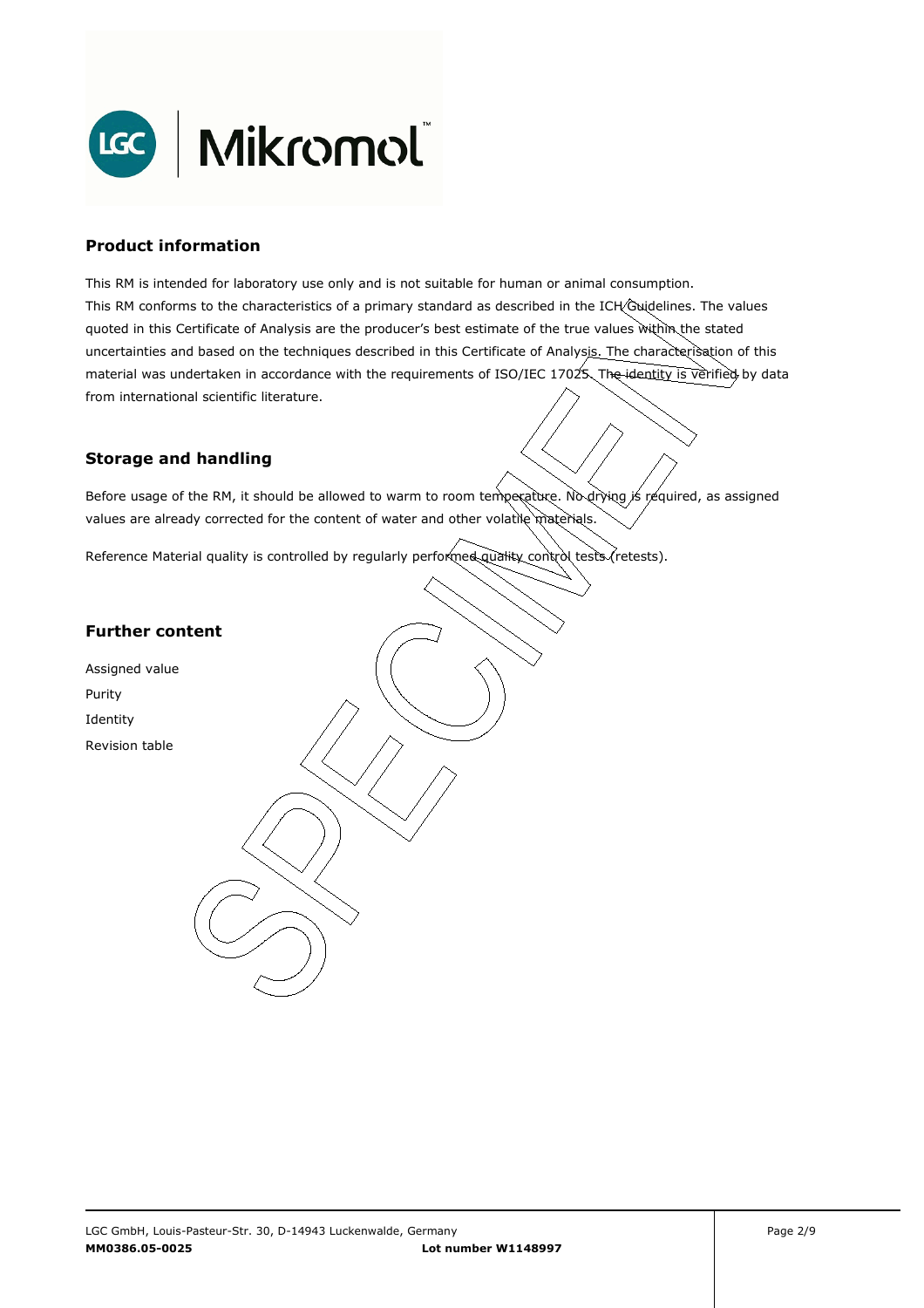

#### **Product information**

This RM is intended for laboratory use only and is not suitable for human or animal consumption. This RM conforms to the characteristics of a primary standard as described in the ICH Guidelines. The values quoted in this Certificate of Analysis are the producer's best estimate of the true values within the stated uncertainties and based on the techniques described in this Certificate of Analysis. The characterisation of this material was undertaken in accordance with the requirements of ISO/IEC 17025. The identity is verified by data from international scientific literature.

#### **Storage and handling**

Before usage of the RM, it should be allowed to warm to room temperature. No drying is required, as assigned values are already corrected for the content of water and other volatile materials.

Reference Material quality is controlled by regularly performed quality control tests (retests).

#### **Further content**

Assigned value Purity Identity Revision table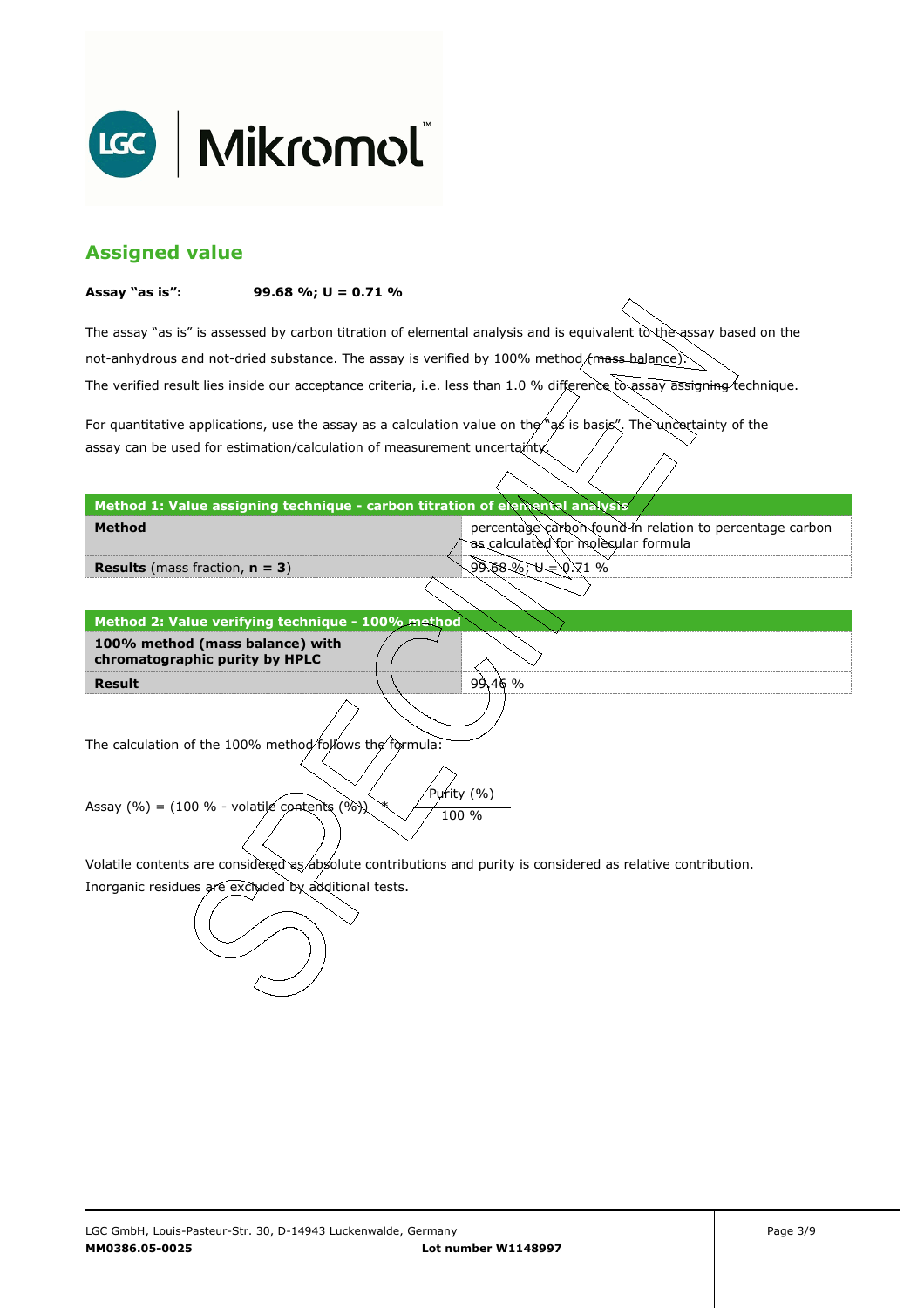

#### **Assigned value**

#### **Assay "as is": 99.68 %; U = 0.71 %**

The assay "as is" is assessed by carbon titration of elemental analysis and is equivalent to the assay based on the The verified result lies inside our acceptance criteria, i.e. less than 1.0 % difference to assay assigning technique. not-anhydrous and not-dried substance. The assay is verified by 100% method/mass-balance)

For quantitative applications, use the assay as a calculation value on the  $\gamma$  as is basis". The uncertainty of the assay can be used for estimation/calculation of measurement uncertainty.

#### **Method 1: Value assigning technique - carbon titration of elemental analysis**

percentage carbon found in relation to percentage carbon as calculated for molecular formula

9.68%; U=\0.71 %

99.46 %

**Results** (mass fraction, **n = 3**)

**Method** 

**Result Method 2: Value verifying technique - 100% method 100% method (mass balance) with chromatographic purity by HPLC** 

The calculation of the 100% method follows the formula:

Purity (%) Assay (%) = (100 % - volatile contents (%)  $\chi$  / 100 %

Volatile contents are considered as absolute contributions and purity is considered as relative contribution.

Inorganic residues are excluded by additional tests.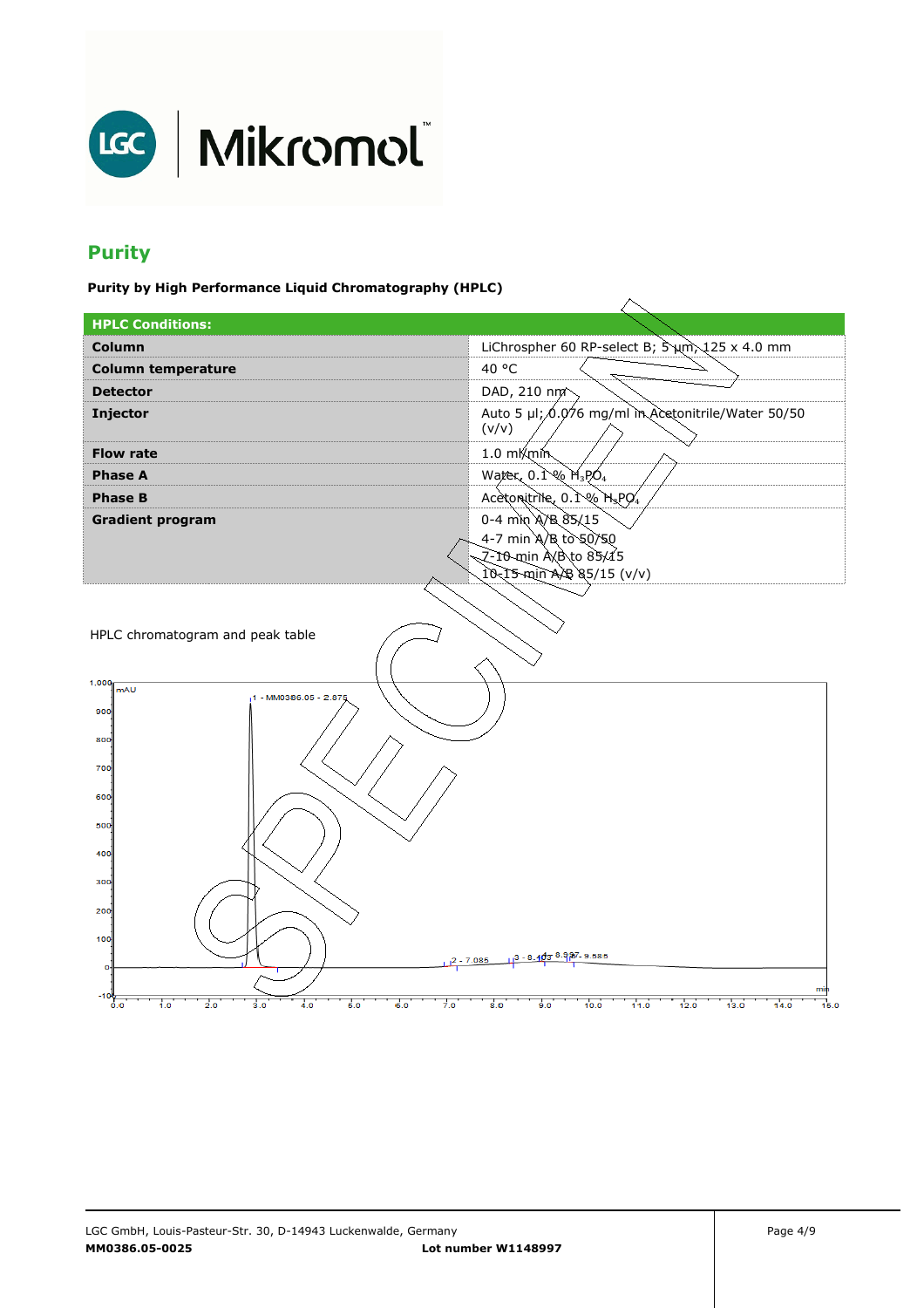

### **Purity**

**Purity by High Performance Liquid Chromatography (HPLC)** 

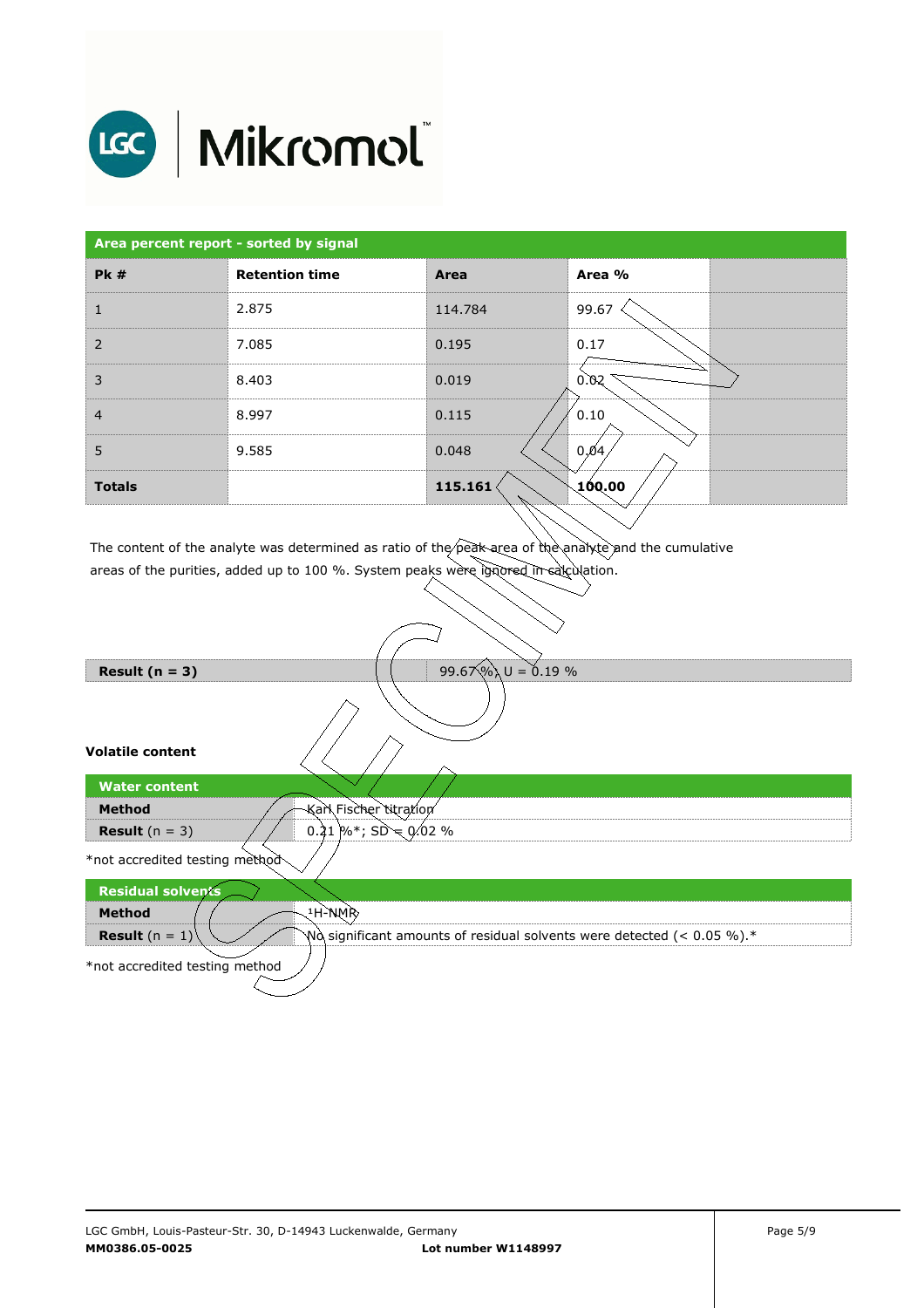

# LGC | Mikromol

| Area percent report - sorted by signal |                       |         |        |  |  |
|----------------------------------------|-----------------------|---------|--------|--|--|
| <b>Pk #</b>                            | <b>Retention time</b> | Area    | Area % |  |  |
| $\mathbf{1}$                           | 2.875                 | 114.784 | 99.67  |  |  |
| $\overline{2}$                         | 7.085                 | 0.195   | 0.17   |  |  |
| 3                                      | 8.403                 | 0.019   | 0.02   |  |  |
| $\overline{4}$                         | 8.997                 | 0.115   | 0.10   |  |  |
| 5                                      | 9.585                 | 0.048   | 0,04   |  |  |
| <b>Totals</b>                          |                       | 115.161 | 100.00 |  |  |

The content of the analyte was determined as ratio of the peak area of the analyte and the cumulative areas of the purities, added up to 100 %. System peaks were ignored in calculation.

| 99.67%) $U = 0.19$ %<br>Result $(n = 3)$                                                                     |  |  |  |  |
|--------------------------------------------------------------------------------------------------------------|--|--|--|--|
|                                                                                                              |  |  |  |  |
| <b>Volatile content</b>                                                                                      |  |  |  |  |
| <b>Water content</b>                                                                                         |  |  |  |  |
| Karl Fischer titration<br><b>Method</b>                                                                      |  |  |  |  |
| 0.21 %*; $SD = 0.02$ %<br><b>Result</b> $(n = 3)$                                                            |  |  |  |  |
| *not accredited testing method                                                                               |  |  |  |  |
| <b>Residual solvents</b>                                                                                     |  |  |  |  |
| ્4H-ેNMRે<br><b>Method</b>                                                                                   |  |  |  |  |
| <b>Result</b> $(n = 1)$<br>$N\alpha$ significant amounts of residual solvents were detected (< 0.05 %). $^*$ |  |  |  |  |
| *not accredited testing method                                                                               |  |  |  |  |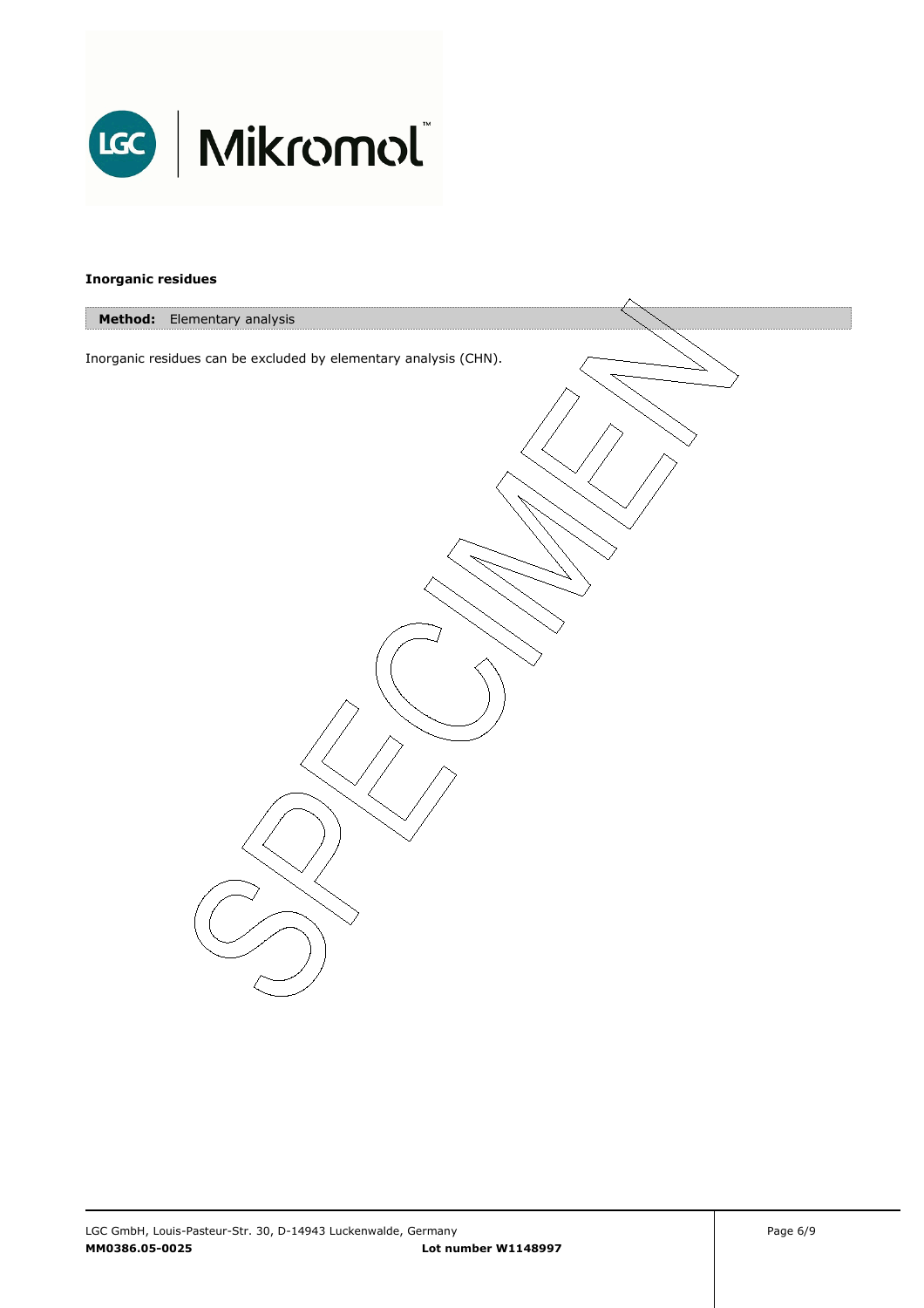

#### **Inorganic residues**

| Method: Elementary analysis                                      |  |
|------------------------------------------------------------------|--|
|                                                                  |  |
| Inorganic residues can be excluded by elementary analysis (CHN). |  |
|                                                                  |  |
|                                                                  |  |
|                                                                  |  |
|                                                                  |  |
|                                                                  |  |
|                                                                  |  |
|                                                                  |  |
|                                                                  |  |
|                                                                  |  |
|                                                                  |  |
|                                                                  |  |
|                                                                  |  |
|                                                                  |  |
|                                                                  |  |
|                                                                  |  |
|                                                                  |  |
|                                                                  |  |
|                                                                  |  |
|                                                                  |  |
|                                                                  |  |
|                                                                  |  |
|                                                                  |  |
|                                                                  |  |
|                                                                  |  |
|                                                                  |  |
|                                                                  |  |
|                                                                  |  |
|                                                                  |  |
|                                                                  |  |
|                                                                  |  |
|                                                                  |  |
|                                                                  |  |
|                                                                  |  |
|                                                                  |  |
|                                                                  |  |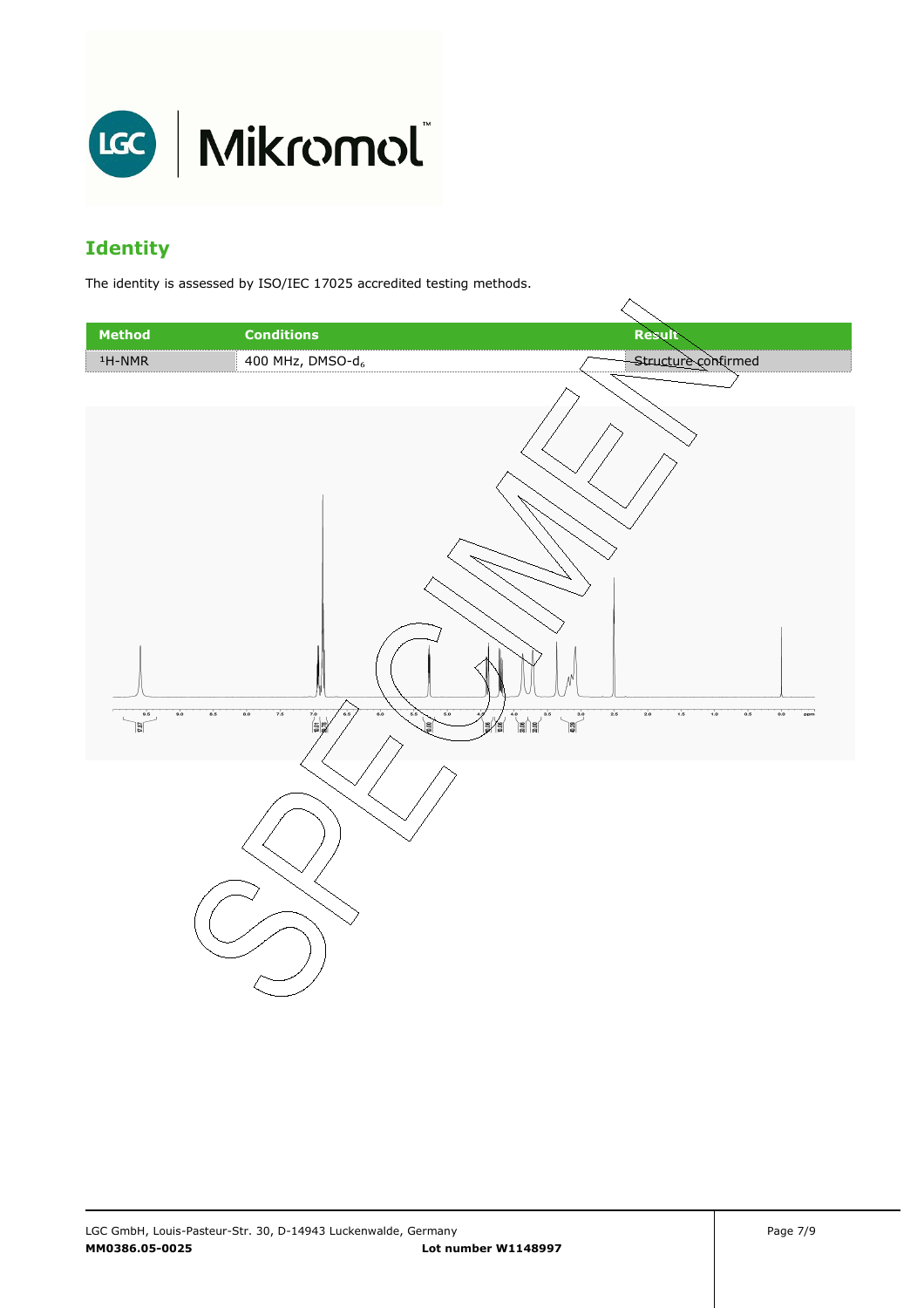

#### **Identity**

The identity is assessed by ISO/IEC 17025 accredited testing methods.

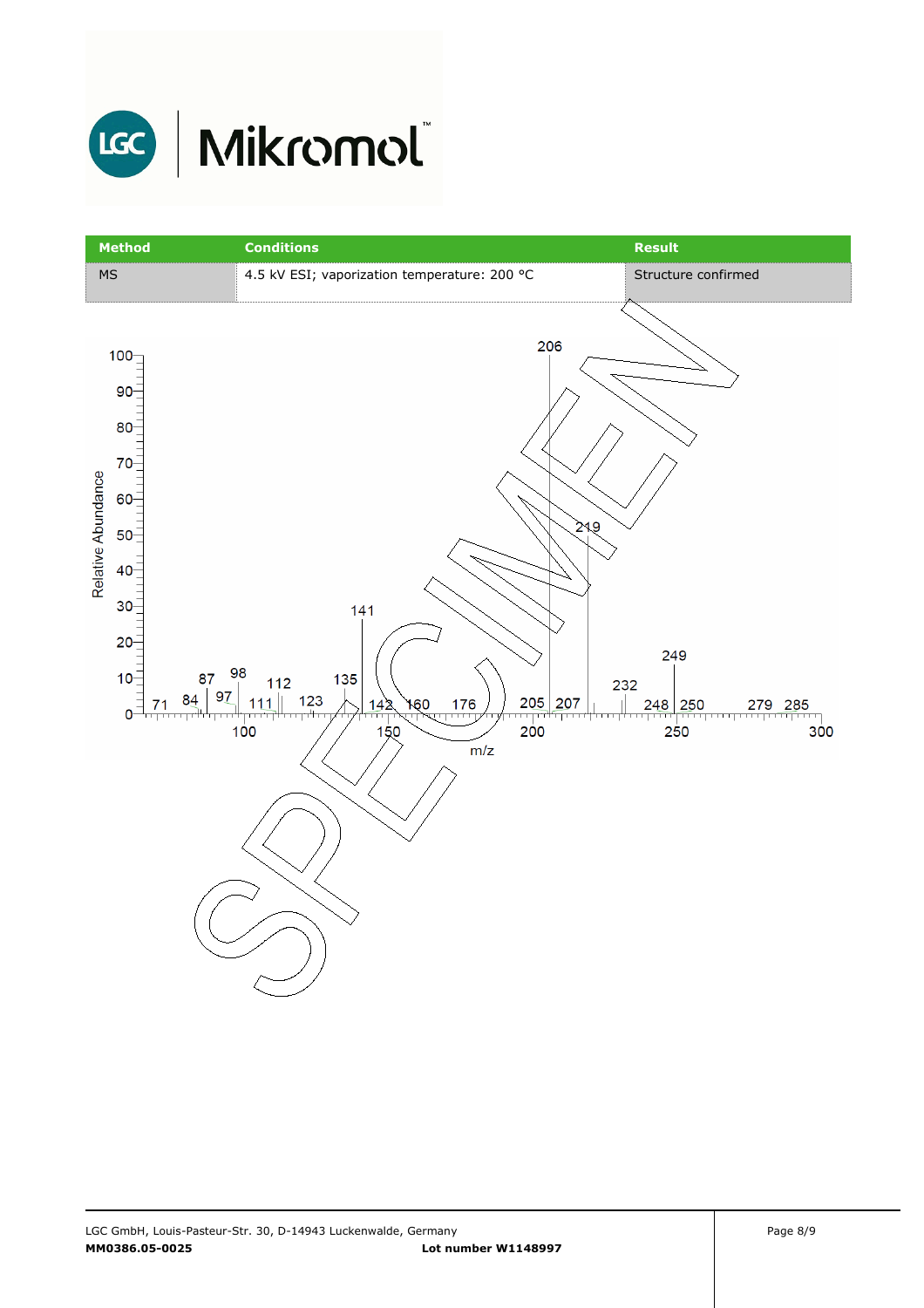